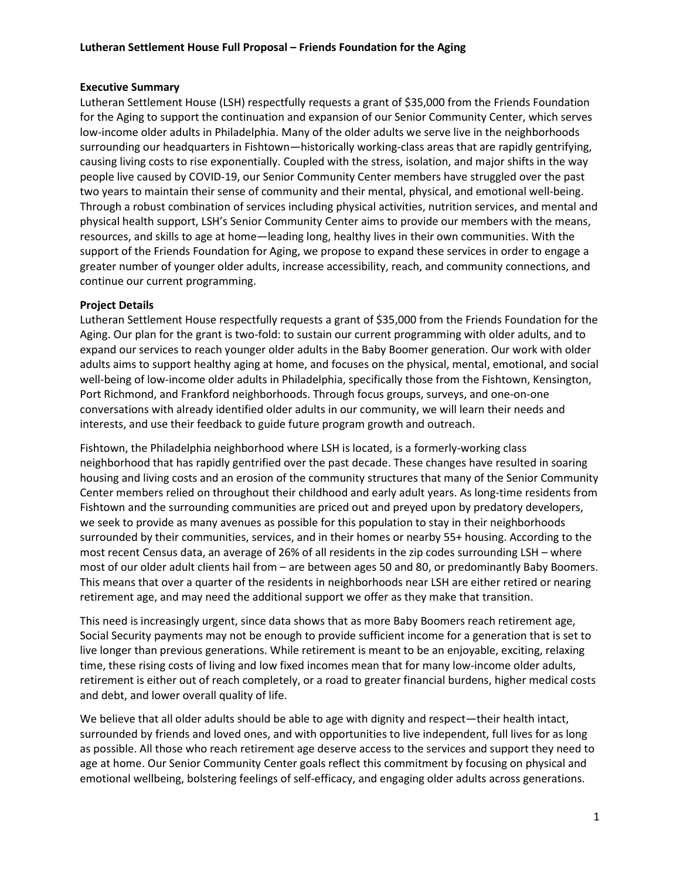## Executive Summary

Lutheran Settlement House (LSH) respectfully requests a grant of \$35,000 from the Friends Foundation for the Aging to support the continuation and expansion of our Senior Community Center, which serves low-income older adults in Philadelphia. Many of the older adults we serve live in the neighborhoods surrounding our headquarters in Fishtown—historically working-class areas that are rapidly gentrifying, causing living costs to rise exponentially. Coupled with the stress, isolation, and major shifts in the way people live caused by COVID-19, our Senior Community Center members have struggled over the past two years to maintain their sense of community and their mental, physical, and emotional well-being. Through a robust combination of services including physical activities, nutrition services, and mental and physical health support, LSH's Senior Community Center aims to provide our members with the means, resources, and skills to age at home—leading long, healthy lives in their own communities. With the support of the Friends Foundation for Aging, we propose to expand these services in order to engage a greater number of younger older adults, increase accessibility, reach, and community connections, and continue our current programming.

## Project Details

Lutheran Settlement House respectfully requests a grant of \$35,000 from the Friends Foundation for the Aging. Our plan for the grant is two-fold: to sustain our current programming with older adults, and to expand our services to reach younger older adults in the Baby Boomer generation. Our work with older adults aims to support healthy aging at home, and focuses on the physical, mental, emotional, and social well-being of low-income older adults in Philadelphia, specifically those from the Fishtown, Kensington, Port Richmond, and Frankford neighborhoods. Through focus groups, surveys, and one-on-one conversations with already identified older adults in our community, we will learn their needs and interests, and use their feedback to guide future program growth and outreach.

Fishtown, the Philadelphia neighborhood where LSH is located, is a formerly-working class neighborhood that has rapidly gentrified over the past decade. These changes have resulted in soaring housing and living costs and an erosion of the community structures that many of the Senior Community Center members relied on throughout their childhood and early adult years. As long-time residents from Fishtown and the surrounding communities are priced out and preyed upon by predatory developers, we seek to provide as many avenues as possible for this population to stay in their neighborhoods surrounded by their communities, services, and in their homes or nearby 55+ housing. According to the most recent Census data, an average of 26% of all residents in the zip codes surrounding LSH – where most of our older adult clients hail from – are between ages 50 and 80, or predominantly Baby Boomers. This means that over a quarter of the residents in neighborhoods near LSH are either retired or nearing retirement age, and may need the additional support we offer as they make that transition.

This need is increasingly urgent, since data shows that as more Baby Boomers reach retirement age, Social Security payments may not be enough to provide sufficient income for a generation that is set to live longer than previous generations. While retirement is meant to be an enjoyable, exciting, relaxing time, these rising costs of living and low fixed incomes mean that for many low-income older adults, retirement is either out of reach completely, or a road to greater financial burdens, higher medical costs and debt, and lower overall quality of life.

We believe that all older adults should be able to age with dignity and respect—their health intact, surrounded by friends and loved ones, and with opportunities to live independent, full lives for as long as possible. All those who reach retirement age deserve access to the services and support they need to age at home. Our Senior Community Center goals reflect this commitment by focusing on physical and emotional wellbeing, bolstering feelings of self-efficacy, and engaging older adults across generations.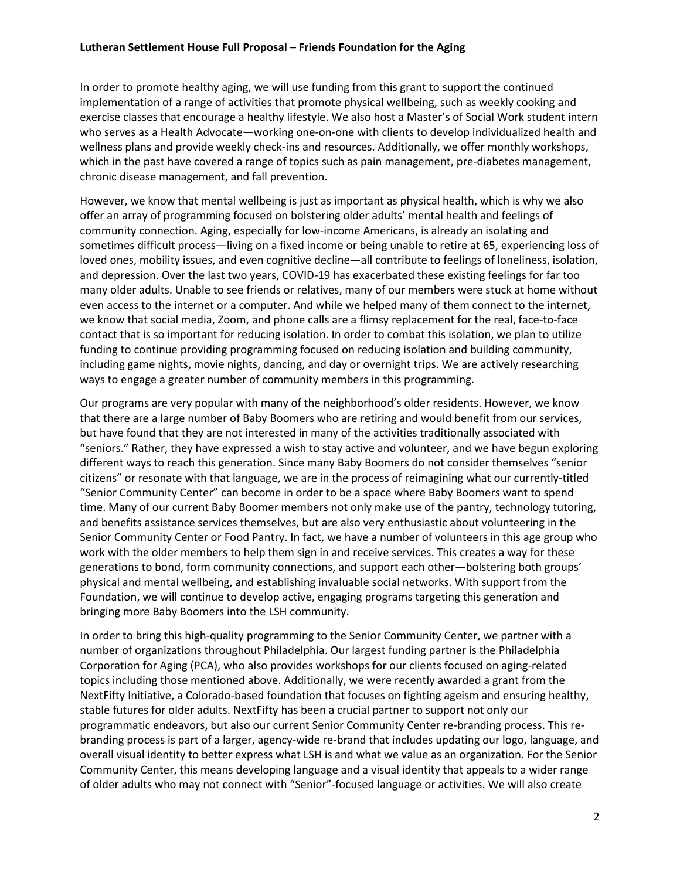In order to promote healthy aging, we will use funding from this grant to support the continued implementation of a range of activities that promote physical wellbeing, such as weekly cooking and exercise classes that encourage a healthy lifestyle. We also host a Master's of Social Work student intern who serves as a Health Advocate—working one-on-one with clients to develop individualized health and wellness plans and provide weekly check-ins and resources. Additionally, we offer monthly workshops, which in the past have covered a range of topics such as pain management, pre-diabetes management, chronic disease management, and fall prevention.

However, we know that mental wellbeing is just as important as physical health, which is why we also offer an array of programming focused on bolstering older adults' mental health and feelings of community connection. Aging, especially for low-income Americans, is already an isolating and sometimes difficult process—living on a fixed income or being unable to retire at 65, experiencing loss of loved ones, mobility issues, and even cognitive decline—all contribute to feelings of loneliness, isolation, and depression. Over the last two years, COVID-19 has exacerbated these existing feelings for far too many older adults. Unable to see friends or relatives, many of our members were stuck at home without even access to the internet or a computer. And while we helped many of them connect to the internet, we know that social media, Zoom, and phone calls are a flimsy replacement for the real, face-to-face contact that is so important for reducing isolation. In order to combat this isolation, we plan to utilize funding to continue providing programming focused on reducing isolation and building community, including game nights, movie nights, dancing, and day or overnight trips. We are actively researching ways to engage a greater number of community members in this programming.

Our programs are very popular with many of the neighborhood's older residents. However, we know that there are a large number of Baby Boomers who are retiring and would benefit from our services, but have found that they are not interested in many of the activities traditionally associated with "seniors." Rather, they have expressed a wish to stay active and volunteer, and we have begun exploring different ways to reach this generation. Since many Baby Boomers do not consider themselves "senior citizens" or resonate with that language, we are in the process of reimagining what our currently-titled "Senior Community Center" can become in order to be a space where Baby Boomers want to spend time. Many of our current Baby Boomer members not only make use of the pantry, technology tutoring, and benefits assistance services themselves, but are also very enthusiastic about volunteering in the Senior Community Center or Food Pantry. In fact, we have a number of volunteers in this age group who work with the older members to help them sign in and receive services. This creates a way for these generations to bond, form community connections, and support each other—bolstering both groups' physical and mental wellbeing, and establishing invaluable social networks. With support from the Foundation, we will continue to develop active, engaging programs targeting this generation and bringing more Baby Boomers into the LSH community.

In order to bring this high-quality programming to the Senior Community Center, we partner with a number of organizations throughout Philadelphia. Our largest funding partner is the Philadelphia Corporation for Aging (PCA), who also provides workshops for our clients focused on aging-related topics including those mentioned above. Additionally, we were recently awarded a grant from the NextFifty Initiative, a Colorado-based foundation that focuses on fighting ageism and ensuring healthy, stable futures for older adults. NextFifty has been a crucial partner to support not only our programmatic endeavors, but also our current Senior Community Center re-branding process. This rebranding process is part of a larger, agency-wide re-brand that includes updating our logo, language, and overall visual identity to better express what LSH is and what we value as an organization. For the Senior Community Center, this means developing language and a visual identity that appeals to a wider range of older adults who may not connect with "Senior"-focused language or activities. We will also create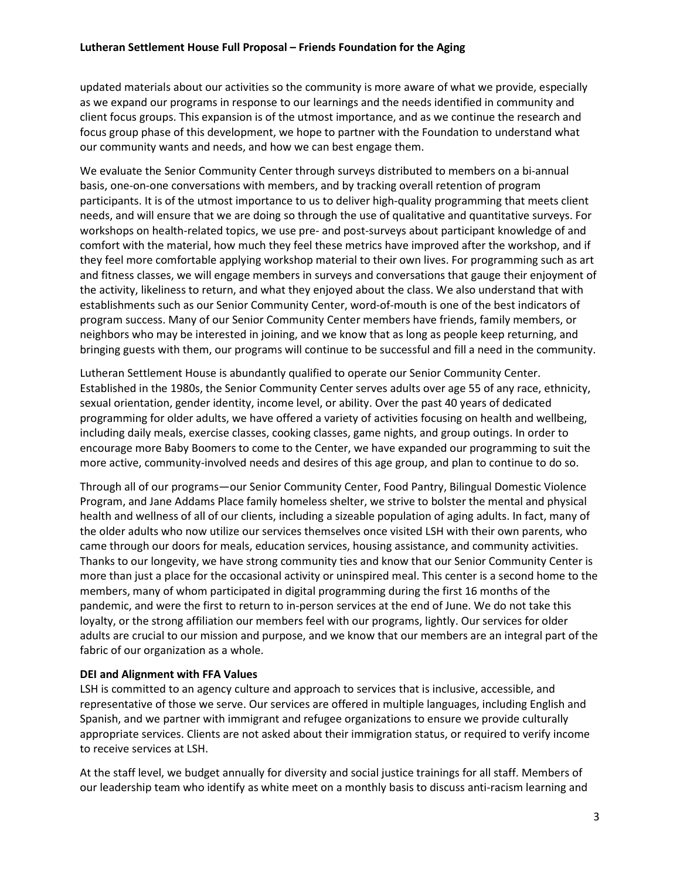updated materials about our activities so the community is more aware of what we provide, especially as we expand our programs in response to our learnings and the needs identified in community and client focus groups. This expansion is of the utmost importance, and as we continue the research and focus group phase of this development, we hope to partner with the Foundation to understand what our community wants and needs, and how we can best engage them.

We evaluate the Senior Community Center through surveys distributed to members on a bi-annual basis, one-on-one conversations with members, and by tracking overall retention of program participants. It is of the utmost importance to us to deliver high-quality programming that meets client needs, and will ensure that we are doing so through the use of qualitative and quantitative surveys. For workshops on health-related topics, we use pre- and post-surveys about participant knowledge of and comfort with the material, how much they feel these metrics have improved after the workshop, and if they feel more comfortable applying workshop material to their own lives. For programming such as art and fitness classes, we will engage members in surveys and conversations that gauge their enjoyment of the activity, likeliness to return, and what they enjoyed about the class. We also understand that with establishments such as our Senior Community Center, word-of-mouth is one of the best indicators of program success. Many of our Senior Community Center members have friends, family members, or neighbors who may be interested in joining, and we know that as long as people keep returning, and bringing guests with them, our programs will continue to be successful and fill a need in the community.

Lutheran Settlement House is abundantly qualified to operate our Senior Community Center. Established in the 1980s, the Senior Community Center serves adults over age 55 of any race, ethnicity, sexual orientation, gender identity, income level, or ability. Over the past 40 years of dedicated programming for older adults, we have offered a variety of activities focusing on health and wellbeing, including daily meals, exercise classes, cooking classes, game nights, and group outings. In order to encourage more Baby Boomers to come to the Center, we have expanded our programming to suit the more active, community-involved needs and desires of this age group, and plan to continue to do so.

Through all of our programs—our Senior Community Center, Food Pantry, Bilingual Domestic Violence Program, and Jane Addams Place family homeless shelter, we strive to bolster the mental and physical health and wellness of all of our clients, including a sizeable population of aging adults. In fact, many of the older adults who now utilize our services themselves once visited LSH with their own parents, who came through our doors for meals, education services, housing assistance, and community activities. Thanks to our longevity, we have strong community ties and know that our Senior Community Center is more than just a place for the occasional activity or uninspired meal. This center is a second home to the members, many of whom participated in digital programming during the first 16 months of the pandemic, and were the first to return to in-person services at the end of June. We do not take this loyalty, or the strong affiliation our members feel with our programs, lightly. Our services for older adults are crucial to our mission and purpose, and we know that our members are an integral part of the fabric of our organization as a whole.

## DEI and Alignment with FFA Values

LSH is committed to an agency culture and approach to services that is inclusive, accessible, and representative of those we serve. Our services are offered in multiple languages, including English and Spanish, and we partner with immigrant and refugee organizations to ensure we provide culturally appropriate services. Clients are not asked about their immigration status, or required to verify income to receive services at LSH.

At the staff level, we budget annually for diversity and social justice trainings for all staff. Members of our leadership team who identify as white meet on a monthly basis to discuss anti-racism learning and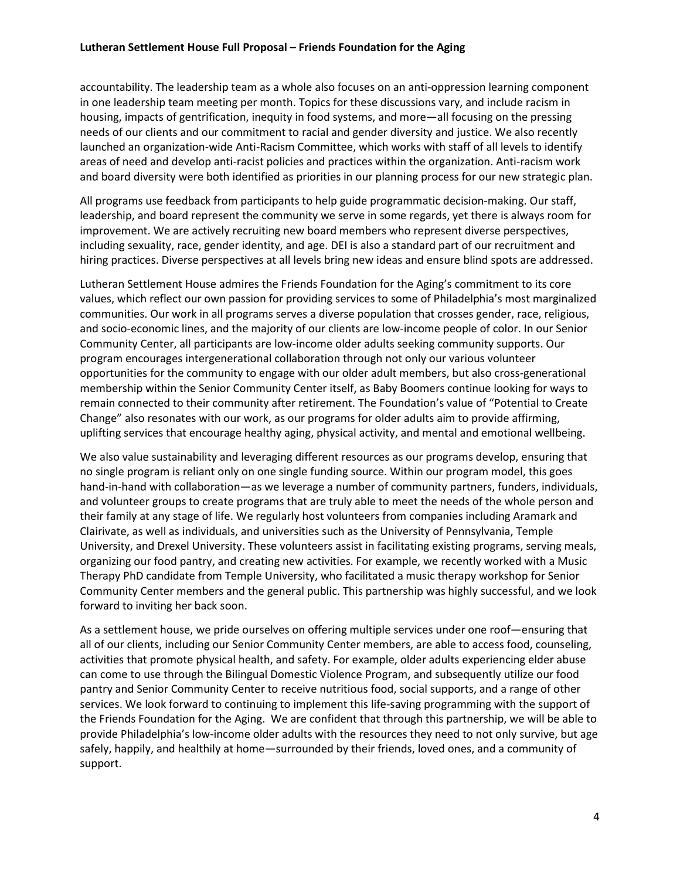#### Lutheran Settlement House Full Proposal – Friends Foundation for the Aging

accountability. The leadership team as a whole also focuses on an anti-oppression learning component in one leadership team meeting per month. Topics for these discussions vary, and include racism in housing, impacts of gentrification, inequity in food systems, and more—all focusing on the pressing needs of our clients and our commitment to racial and gender diversity and justice. We also recently launched an organization-wide Anti-Racism Committee, which works with staff of all levels to identify areas of need and develop anti-racist policies and practices within the organization. Anti-racism work and board diversity were both identified as priorities in our planning process for our new strategic plan.

All programs use feedback from participants to help guide programmatic decision-making. Our staff, leadership, and board represent the community we serve in some regards, yet there is always room for improvement. We are actively recruiting new board members who represent diverse perspectives, including sexuality, race, gender identity, and age. DEI is also a standard part of our recruitment and hiring practices. Diverse perspectives at all levels bring new ideas and ensure blind spots are addressed.

Lutheran Settlement House admires the Friends Foundation for the Aging's commitment to its core values, which reflect our own passion for providing services to some of Philadelphia's most marginalized communities. Our work in all programs serves a diverse population that crosses gender, race, religious, and socio-economic lines, and the majority of our clients are low-income people of color. In our Senior Community Center, all participants are low-income older adults seeking community supports. Our program encourages intergenerational collaboration through not only our various volunteer opportunities for the community to engage with our older adult members, but also cross-generational membership within the Senior Community Center itself, as Baby Boomers continue looking for ways to remain connected to their community after retirement. The Foundation's value of "Potential to Create Change" also resonates with our work, as our programs for older adults aim to provide affirming, uplifting services that encourage healthy aging, physical activity, and mental and emotional wellbeing.

We also value sustainability and leveraging different resources as our programs develop, ensuring that no single program is reliant only on one single funding source. Within our program model, this goes hand-in-hand with collaboration—as we leverage a number of community partners, funders, individuals, and volunteer groups to create programs that are truly able to meet the needs of the whole person and their family at any stage of life. We regularly host volunteers from companies including Aramark and Clairivate, as well as individuals, and universities such as the University of Pennsylvania, Temple University, and Drexel University. These volunteers assist in facilitating existing programs, serving meals, organizing our food pantry, and creating new activities. For example, we recently worked with a Music Therapy PhD candidate from Temple University, who facilitated a music therapy workshop for Senior Community Center members and the general public. This partnership was highly successful, and we look forward to inviting her back soon.

As a settlement house, we pride ourselves on offering multiple services under one roof—ensuring that all of our clients, including our Senior Community Center members, are able to access food, counseling, activities that promote physical health, and safety. For example, older adults experiencing elder abuse can come to use through the Bilingual Domestic Violence Program, and subsequently utilize our food pantry and Senior Community Center to receive nutritious food, social supports, and a range of other services. We look forward to continuing to implement this life-saving programming with the support of the Friends Foundation for the Aging. We are confident that through this partnership, we will be able to provide Philadelphia's low-income older adults with the resources they need to not only survive, but age safely, happily, and healthily at home—surrounded by their friends, loved ones, and a community of support.